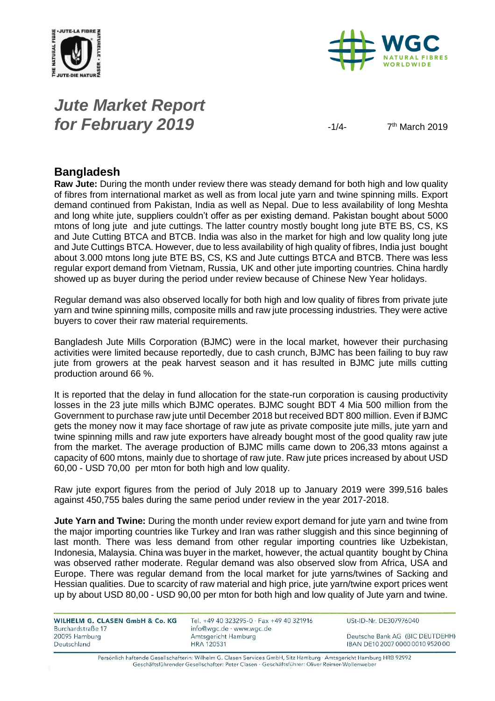



# *Jute Market Report for February 2019*  $\frac{1}{4}$

 $7<sup>th</sup>$  March 2019

#### **Bangladesh**

**Raw Jute:** During the month under review there was steady demand for both high and low quality of fibres from international market as well as from local jute yarn and twine spinning mills. Export demand continued from Pakistan, India as well as Nepal. Due to less availability of long Meshta and long white jute, suppliers couldn't offer as per existing demand. Pakistan bought about 5000 mtons of long jute and jute cuttings. The latter country mostly bought long jute BTE BS, CS, KS and Jute Cutting BTCA and BTCB. India was also in the market for high and low quality long jute and Jute Cuttings BTCA. However, due to less availability of high quality of fibres, India just bought about 3.000 mtons long jute BTE BS, CS, KS and Jute cuttings BTCA and BTCB. There was less regular export demand from Vietnam, Russia, UK and other jute importing countries. China hardly showed up as buyer during the period under review because of Chinese New Year holidays.

Regular demand was also observed locally for both high and low quality of fibres from private jute yarn and twine spinning mills, composite mills and raw jute processing industries. They were active buyers to cover their raw material requirements.

Bangladesh Jute Mills Corporation (BJMC) were in the local market, however their purchasing activities were limited because reportedly, due to cash crunch, BJMC has been failing to buy raw jute from growers at the peak harvest season and it has resulted in BJMC jute mills cutting production around 66 %.

It is reported that the delay in fund allocation for the state-run corporation is causing productivity losses in the 23 jute mills which BJMC operates. BJMC sought BDT 4 Mia 500 million from the Government to purchase raw jute until December 2018 but received BDT 800 million. Even if BJMC gets the money now it may face shortage of raw jute as private composite jute mills, jute yarn and twine spinning mills and raw jute exporters have already bought most of the good quality raw jute from the market. The average production of BJMC mills came down to 206,33 mtons against a capacity of 600 mtons, mainly due to shortage of raw jute. Raw jute prices increased by about USD 60,00 - USD 70,00 per mton for both high and low quality.

Raw jute export figures from the period of July 2018 up to January 2019 were 399,516 bales against 450,755 bales during the same period under review in the year 2017-2018.

**Jute Yarn and Twine:** During the month under review export demand for jute yarn and twine from the major importing countries like Turkey and Iran was rather sluggish and this since beginning of last month. There was less demand from other regular importing countries like Uzbekistan, Indonesia, Malaysia. China was buyer in the market, however, the actual quantity bought by China was observed rather moderate. Regular demand was also observed slow from Africa, USA and Europe. There was regular demand from the local market for jute yarns/twines of Sacking and Hessian qualities. Due to scarcity of raw material and high price, jute yarn/twine export prices went up by about USD 80,00 - USD 90,00 per mton for both high and low quality of Jute yarn and twine.

WILHELM G. CLASEN GmbH & Co. KG Burchardstraße 17 20095 Hamburg Deutschland

Tel. +49 40 323295-0 · Fax +49 40 321916 info@wgc.de · www.wgc.de Amtsgericht Hamburg **HRA 120531** 

USt-ID-Nr. DE307976040

Deutsche Bank AG (BIC DEUTDEHH) IBAN DE10 2007 0000 0010 9520 00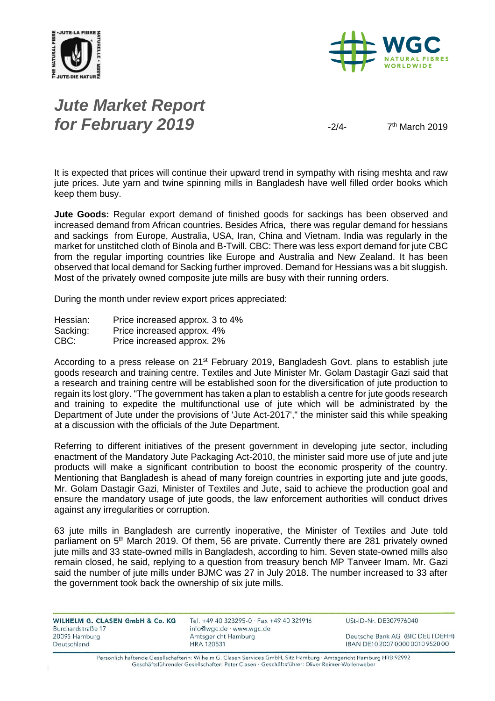



# *Jute Market Report for February 2019*  $\frac{2}{4}$

 $7<sup>th</sup>$  March 2019

It is expected that prices will continue their upward trend in sympathy with rising meshta and raw jute prices. Jute yarn and twine spinning mills in Bangladesh have well filled order books which keep them busy.

**Jute Goods:** Regular export demand of finished goods for sackings has been observed and increased demand from African countries. Besides Africa, there was regular demand for hessians and sackings from Europe, Australia, USA, Iran, China and Vietnam. India was regularly in the market for unstitched cloth of Binola and B-Twill. CBC: There was less export demand for jute CBC from the regular importing countries like Europe and Australia and New Zealand. It has been observed that local demand for Sacking further improved. Demand for Hessians was a bit sluggish. Most of the privately owned composite jute mills are busy with their running orders.

During the month under review export prices appreciated:

Hessian: Price increased approx. 3 to 4% Sacking: Price increased approx. 4%<br>CBC: Price increased approx. 2% Price increased approx. 2%

According to a press release on  $21^{st}$  February 2019, Bangladesh Govt. plans to establish jute goods research and training centre. Textiles and Jute Minister Mr. Golam Dastagir Gazi said that a research and training centre will be established soon for the diversification of jute production to regain its lost glory. "The government has taken a plan to establish a centre for jute goods research and training to expedite the multifunctional use of jute which will be administrated by the Department of Jute under the provisions of 'Jute Act-2017'," the minister said this while speaking at a discussion with the officials of the Jute Department.

Referring to different initiatives of the present government in developing jute sector, including enactment of the Mandatory Jute Packaging Act-2010, the minister said more use of jute and jute products will make a significant contribution to boost the economic prosperity of the country. Mentioning that Bangladesh is ahead of many foreign countries in exporting jute and jute goods, Mr. Golam Dastagir Gazi, Minister of Textiles and Jute, said to achieve the production goal and ensure the mandatory usage of jute goods, the law enforcement authorities will conduct drives against any irregularities or corruption.

63 jute mills in Bangladesh are currently inoperative, the Minister of Textiles and Jute told parliament on 5<sup>th</sup> March 2019. Of them, 56 are private. Currently there are 281 privately owned jute mills and 33 state-owned mills in Bangladesh, according to him. Seven state-owned mills also remain closed, he said, replying to a question from treasury bench MP Tanveer Imam. Mr. Gazi said the number of jute mills under BJMC was 27 in July 2018. The number increased to 33 after the government took back the ownership of six jute mills.

| WILHELM G. CLASEN GmbH & Co. KG | Tel. +49 40 323295-0 · Fax +49 40 321916 | USt-ID-Nr. DE307976040           |
|---------------------------------|------------------------------------------|----------------------------------|
| Burchardstraße 17               | info@wgc.de · www.wgc.de                 |                                  |
| 20095 Hamburg                   | Amtsgericht Hamburg                      | Deutsche Bank AG (BIC DEUTDEHH)  |
| Deutschland                     | HRA 120531                               | IBAN DE10 2007 0000 0010 9520 00 |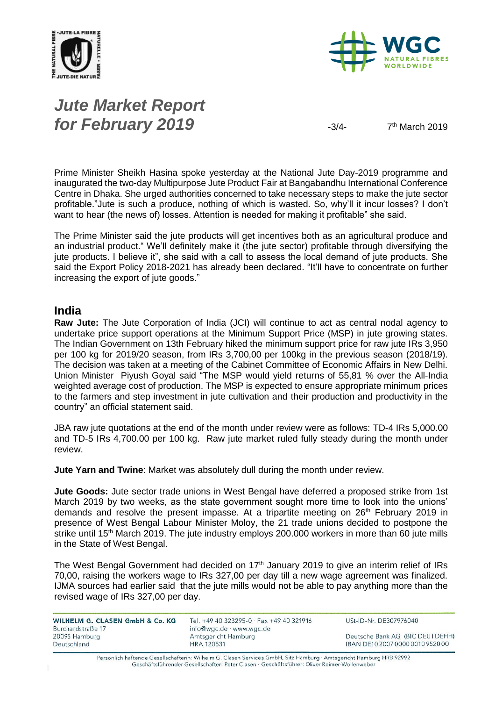



# *Jute Market Report for February 2019*  $\frac{3}{4}$

 $7<sup>th</sup>$  March 2019

Prime Minister Sheikh Hasina spoke yesterday at the National Jute Day-2019 programme and inaugurated the two-day Multipurpose Jute Product Fair at Bangabandhu International Conference Centre in Dhaka. She urged authorities concerned to take necessary steps to make the jute sector profitable."Jute is such a produce, nothing of which is wasted. So, why'll it incur losses? I don't want to hear (the news of) losses. Attention is needed for making it profitable" she said.

The Prime Minister said the jute products will get incentives both as an agricultural produce and an industrial product." We'll definitely make it (the jute sector) profitable through diversifying the jute products. I believe it", she said with a call to assess the local demand of jute products. She said the Export Policy 2018-2021 has already been declared. "It'll have to concentrate on further increasing the export of jute goods."

#### **India**

**Raw Jute:** The Jute Corporation of India (JCI) will continue to act as central nodal agency to undertake price support operations at the Minimum Support Price (MSP) in jute growing states. The Indian Government on 13th February hiked the minimum support price for raw jute IRs 3,950 per 100 kg for 2019/20 season, from IRs 3,700,00 per 100kg in the previous season (2018/19). The decision was taken at a meeting of the Cabinet Committee of Economic Affairs in New Delhi. Union Minister Piyush Goyal said "The MSP would yield returns of 55,81 % over the All-India weighted average cost of production. The MSP is expected to ensure appropriate minimum prices to the farmers and step investment in jute cultivation and their production and productivity in the country" an official statement said.

JBA raw jute quotations at the end of the month under review were as follows: TD-4 IRs 5,000.00 and TD-5 IRs 4,700.00 per 100 kg. Raw jute market ruled fully steady during the month under review.

**Jute Yarn and Twine**: Market was absolutely dull during the month under review.

**Jute Goods:** Jute sector trade unions in West Bengal have deferred a proposed strike from 1st March 2019 by two weeks, as the state government sought more time to look into the unions' demands and resolve the present impasse. At a tripartite meeting on  $26<sup>th</sup>$  February 2019 in presence of West Bengal Labour Minister Moloy, the 21 trade unions decided to postpone the strike until 15<sup>th</sup> March 2019. The jute industry employs 200.000 workers in more than 60 jute mills in the State of West Bengal.

The West Bengal Government had decided on  $17<sup>th</sup>$  January 2019 to give an interim relief of IRs 70,00, raising the workers wage to IRs 327,00 per day till a new wage agreement was finalized. IJMA sources had earlier said that the jute mills would not be able to pay anything more than the revised wage of IRs 327,00 per day.

| WILHELM G. CLASEN GmbH & Co. KG<br>Burchardstraße 17 | Tel. +49 40 323295-0 · Fax +49 40 321916<br>info@wgc.de · www.wgc.de | USt-ID-Nr. DE307976040           |
|------------------------------------------------------|----------------------------------------------------------------------|----------------------------------|
| 20095 Hamburg                                        | Amtsgericht Hamburg                                                  | Deutsche Bank AG (BIC DEUTDEHH)  |
| Deutschland                                          | HRA 120531                                                           | IBAN DE10 2007 0000 0010 9520 00 |